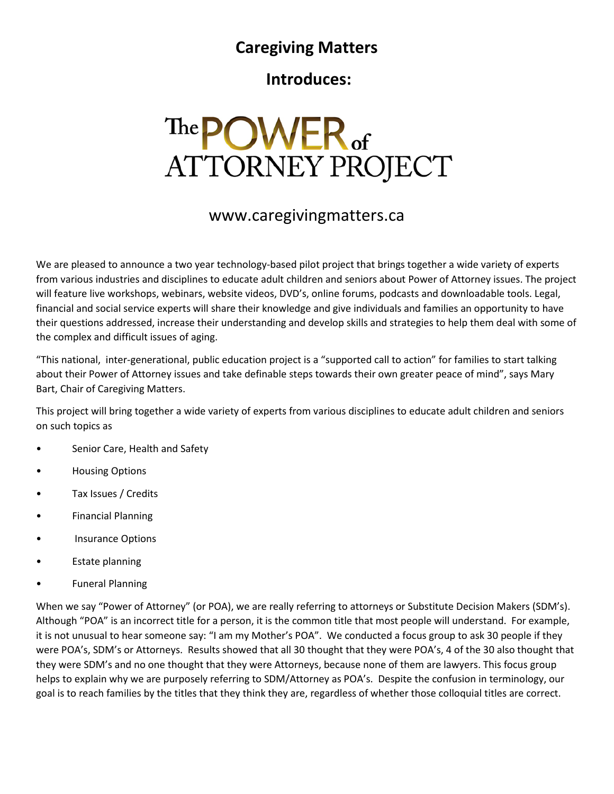## **Caregiving Matters**

## **Introduces:**

# The POWER of **ATTORNEY PROJECT**

### www.caregivingmatters.ca

We are pleased to announce a two year technology-based pilot project that brings together a wide variety of experts from various industries and disciplines to educate adult children and seniors about Power of Attorney issues. The project will feature live workshops, webinars, website videos, DVD's, online forums, podcasts and downloadable tools. Legal, financial and social service experts will share their knowledge and give individuals and families an opportunity to have their questions addressed, increase their understanding and develop skills and strategies to help them deal with some of the complex and difficult issues of aging.

"This national, inter-generational, public education project is a "supported call to action" for families to start talking about their Power of Attorney issues and take definable steps towards their own greater peace of mind", says Mary Bart, Chair of Caregiving Matters.

This project will bring together a wide variety of experts from various disciplines to educate adult children and seniors on such topics as

- Senior Care, Health and Safety
- Housing Options
- Tax Issues / Credits
- Financial Planning
- Insurance Options
- **Estate planning**
- Funeral Planning

When we say "Power of Attorney" (or POA), we are really referring to attorneys or Substitute Decision Makers (SDM's). Although "POA" is an incorrect title for a person, it is the common title that most people will understand. For example, it is not unusual to hear someone say: "I am my Mother's POA". We conducted a focus group to ask 30 people if they were POA's, SDM's or Attorneys. Results showed that all 30 thought that they were POA's, 4 of the 30 also thought that they were SDM's and no one thought that they were Attorneys, because none of them are lawyers. This focus group helps to explain why we are purposely referring to SDM/Attorney as POA's. Despite the confusion in terminology, our goal is to reach families by the titles that they think they are, regardless of whether those colloquial titles are correct.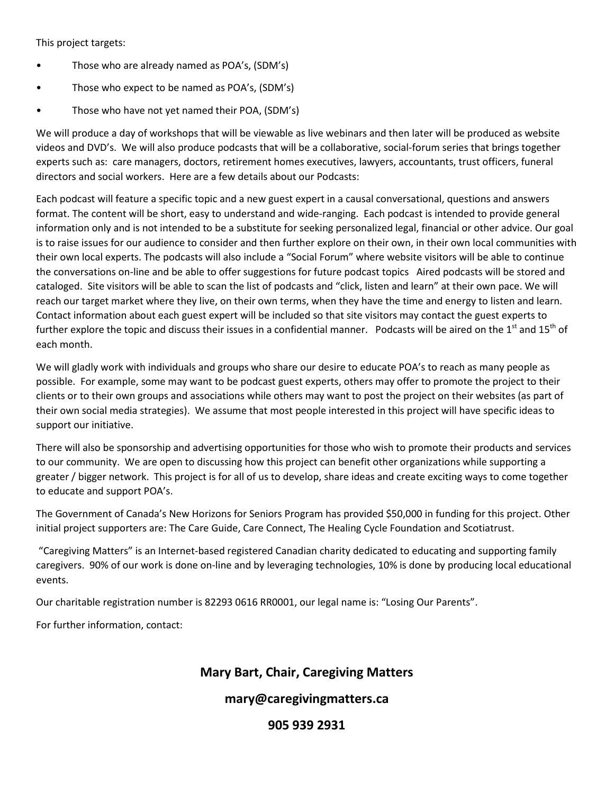This project targets:

- Those who are already named as POA's, (SDM's)
- Those who expect to be named as POA's, (SDM's)
- Those who have not yet named their POA, (SDM's)

We will produce a day of workshops that will be viewable as live webinars and then later will be produced as website videos and DVD's. We will also produce podcasts that will be a collaborative, social-forum series that brings together experts such as: care managers, doctors, retirement homes executives, lawyers, accountants, trust officers, funeral directors and social workers. Here are a few details about our Podcasts:

Each podcast will feature a specific topic and a new guest expert in a causal conversational, questions and answers format. The content will be short, easy to understand and wide-ranging. Each podcast is intended to provide general information only and is not intended to be a substitute for seeking personalized legal, financial or other advice. Our goal is to raise issues for our audience to consider and then further explore on their own, in their own local communities with their own local experts. The podcasts will also include a "Social Forum" where website visitors will be able to continue the conversations on-line and be able to offer suggestions for future podcast topics Aired podcasts will be stored and cataloged. Site visitors will be able to scan the list of podcasts and "click, listen and learn" at their own pace. We will reach our target market where they live, on their own terms, when they have the time and energy to listen and learn. Contact information about each guest expert will be included so that site visitors may contact the guest experts to further explore the topic and discuss their issues in a confidential manner. Podcasts will be aired on the  $1^{st}$  and  $15^{th}$  of each month.

We will gladly work with individuals and groups who share our desire to educate POA's to reach as many people as possible. For example, some may want to be podcast guest experts, others may offer to promote the project to their clients or to their own groups and associations while others may want to post the project on their websites (as part of their own social media strategies). We assume that most people interested in this project will have specific ideas to support our initiative.

There will also be sponsorship and advertising opportunities for those who wish to promote their products and services to our community. We are open to discussing how this project can benefit other organizations while supporting a greater / bigger network. This project is for all of us to develop, share ideas and create exciting ways to come together to educate and support POA's.

The Government of Canada's New Horizons for Seniors Program has provided \$50,000 in funding for this project. Other initial project supporters are: The Care Guide, Care Connect, The Healing Cycle Foundation and Scotiatrust.

"Caregiving Matters" is an Internet-based registered Canadian charity dedicated to educating and supporting family caregivers. 90% of our work is done on-line and by leveraging technologies, 10% is done by producing local educational events.

Our charitable registration number is 82293 0616 RR0001, our legal name is: "Losing Our Parents".

For further information, contact:

#### **Mary Bart, Chair, Caregiving Matters**

#### **mary@caregivingmatters.ca**

#### **905 939 2931**